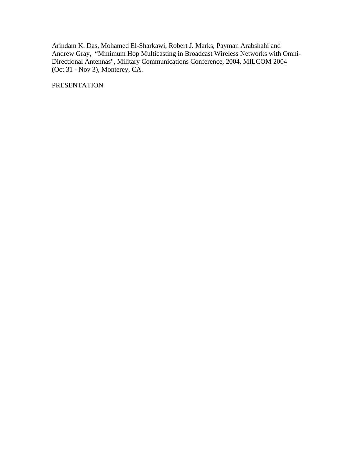Arindam K. Das, Mohamed El-Sharkawi, Robert J. Marks, Payman Arabshahi and Andrew Gray, "Minimum Hop Multicasting in Broadcast Wireless Networks with Omni-Directional Antennas", Military Communications Conference, 2004. MILCOM 2004 (Oct 31 - Nov 3), Monterey, CA.

PRESENTATION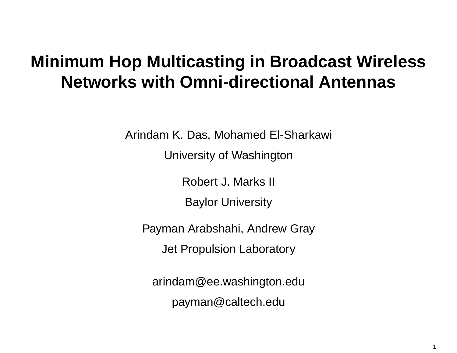# **Minimum Hop Multicasting in Broadcast Wireless Networks with Omni-directional Antennas**

Arindam K. Das, Mohamed El-Sharkawi

University of Washington

Robert J. Marks II

Baylor University

Payman Arabshahi, Andrew Gray Jet Propulsion Laboratory

arindam@ee.washington.edu payman@caltech.edu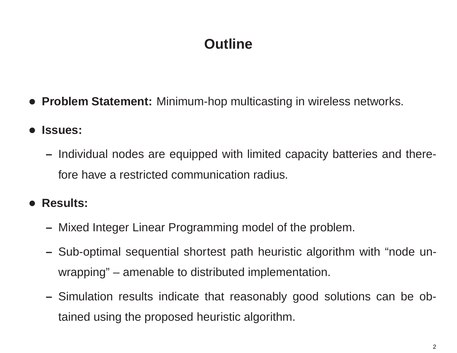# **Outline**

- **Problem Statement:** Minimum-hop multicasting in wireless networks.
- • **Issues:**
	- **–** Individual nodes are equipped with limited capacity batteries and therefore have a restricted communication radius.
- **Results:**
	- Mixed Integer Linear Programming model of the problem.
	- **–** Sub-optimal sequential shortest path heuristic algorithm with "node unwrapping" – amenable to distributed implementation.
	- Simulation results indicate that reasonably good solutions can be obtained using the proposed heuristic algorithm.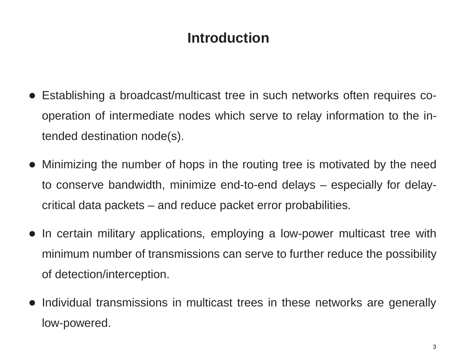# **Introduction**

- Establishing <sup>a</sup> broadcast/multicast tree in such networks often requires cooperation of intermediate nodes which serve to relay information to the intended destination node(s).
- Minimizing the number of hops in the routing tree is motivated by the need to conserve bandwidth, minimize end-to-end delays – especially for delaycritical data packets – and reduce packet error probabilities.
- In certain military applications, employing <sup>a</sup> low-power multicast tree with minimum number of transmissions can serve to further reduce the possibility of detection/interception.
- Individual transmissions in multicast trees in these networks are generally low-powered.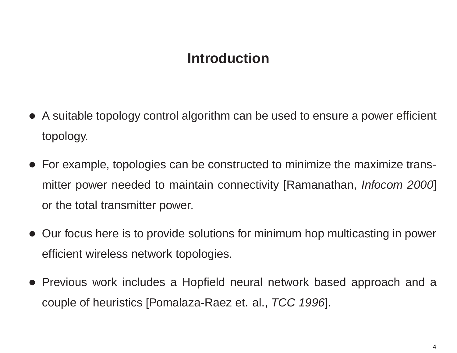### **Introduction**

- A suitable topology control algorithm can be used to ensure <sup>a</sup> power efficient topology.
- For example, topologies can be constructed to minimize the maximize transmitter power needed to maintain connectivity [Ramanathan, *Infocom 2000*] or the total transmitter power.
- Our focus here is to provide solutions for minimum hop multicasting in power efficient wireless network topologies.
- Previous work includes <sup>a</sup> Hopfield neural network based approach and <sup>a</sup> couple of heuristics [Pomalaza-Raez et. al., *TCC 1996*].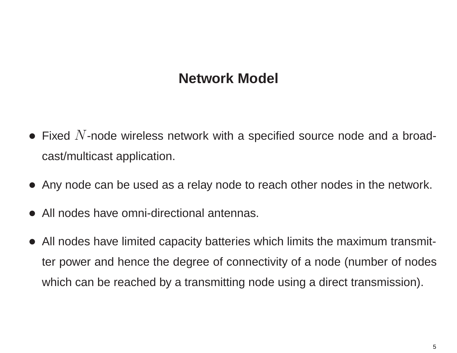# **Network Model**

- Fixed  $N$ -node wireless network with a specified source node and a broadcast/multicast application.
- Any node can be used as <sup>a</sup> relay node to reach other nodes in the network.
- All nodes have omni-directional antennas.
- All nodes have limited capacity batteries which limits the maximum transmitter power and hence the degree of connectivity of <sup>a</sup> node (number of nodes which can be reached by <sup>a</sup> transmitting node using <sup>a</sup> direct transmission).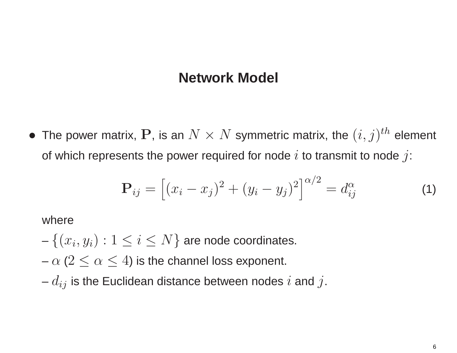#### **Network Model**

 $\bullet$ The power matrix, P, is an  $N \times N$  symmetric matrix, the  $(i, j)^{th}$  element of which represents the power required for node i to transmit to node j:

$$
\mathbf{P}_{ij} = [(x_i - x_j)^2 + (y_i - y_j)^2]^{\alpha/2} = d_{ij}^{\alpha}
$$
 (1)

where

 $-\left\{ (x_i, y_i):1\leq i\leq N\right\}$  are node coordinates.

 $-\,\alpha$  ( $2\leq\alpha\leq4$ ) is the channel loss exponent.

 $-\,d_{ij}$  is the Euclidean distance between nodes  $i$  and  $j.$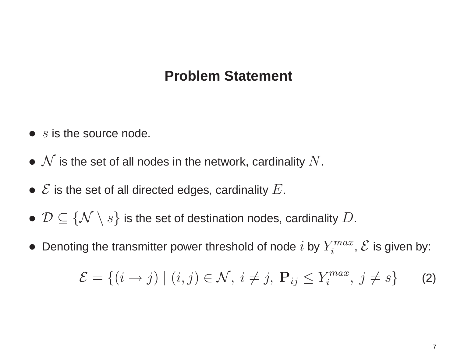### **Problem Statement**

- $\bullet$  s is the source node.
- $\bullet \,\, {\cal N}$  is the set of all nodes in the network, cardinality  $N.$
- $\bullet \,\, {\mathcal E}$  is the set of all directed edges, cardinality  $E.$
- $\bullet$   $\mathcal{D} \subseteq \{\mathcal{N} \setminus s\}$  is the set of destination nodes, cardinality  $D.$
- $\bullet~$  Denoting the transmitter power threshold of node  $i$  by  $Y_{i}^{max}$ ,  ${\cal E}$  is given by:

<span id="page-7-0"></span>
$$
\mathcal{E} = \{(i \to j) \mid (i, j) \in \mathcal{N}, i \neq j, \mathbf{P}_{ij} \leq Y_i^{max}, j \neq s\}
$$
 (2)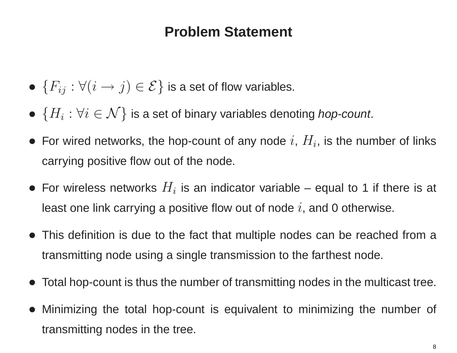### **Problem Statement**

- $\bullet\,\left\{ F_{ij}:\forall\!\left( i\rightarrow j\right) \in\mathcal{E}\right\}$  is a set of flow variables.
- $\bullet\,\left\{ H_{i}:\forall i\in\mathcal{N}\right\}$  is a set of binary variables denoting *hop-count*.
- For wired networks, the hop-count of any node  $i$ ,  $H_i$ , is the number of links carrying positive flow out of the node.
- For wireless networks  $H_i$  is an indicator variable equal to 1 if there is at least one link carrying a positive flow out of node  $i$ , and 0 otherwise.
- This definition is due to the fact that multiple nodes can be reached from <sup>a</sup> transmitting node using <sup>a</sup> single transmission to the farthest node.
- Total hop-count is thus the number of transmitting nodes in the multicast tree.
- • Minimizing the total hop-count is equivalent to minimizing the number of transmitting nodes in the tree.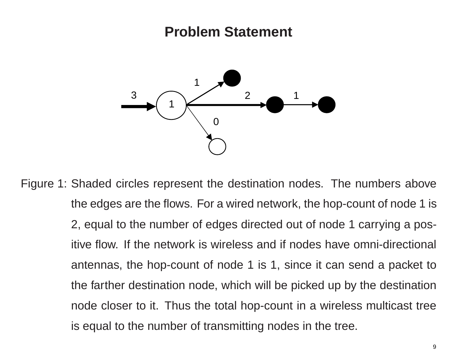#### **Problem Statement**



Figure 1: Shaded circles represent the destination nodes. The numbers above the edges are the flows. For <sup>a</sup> wired network, the hop-count of node 1 is 2, equal to the number of edges directed out of node 1 carrying <sup>a</sup> positive flow. If the network is wireless and if nodes have omni-directional antennas, the hop-count of node 1 is 1, since it can send <sup>a</sup> packet to the farther destination node, which will be picked up by the destination node closer to it. Thus the total hop-count in <sup>a</sup> wireless multicast tree is equal to the number of transmitting nodes in the tree.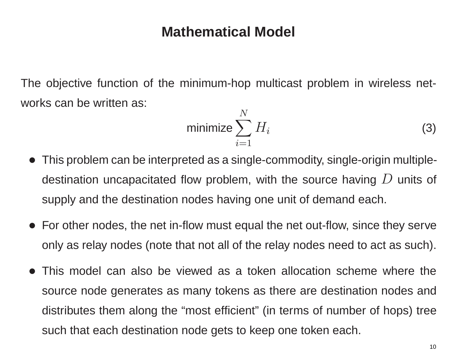The objective function of the minimum-hop multicast problem in wireless networks can be written as:

<span id="page-10-0"></span>
$$
\text{minimize } \sum_{i=1}^{N} H_i \tag{3}
$$

- This problem can be interpreted as <sup>a</sup> single-commodity, single-origin multipledestination uncapacitated flow problem, with the source having  $D$  units of supply and the destination nodes having one unit of demand each.
- For other nodes, the net in-flow must equal the net out-flow, since they serve only as relay nodes (note that not all of the relay nodes need to act as such).
- This model can also be viewed as a token allocation scheme where the source node generates as many tokens as there are destination nodes and distributes them along the "most efficient" (in terms of number of hops) tree such that each destination node gets to keep one token each.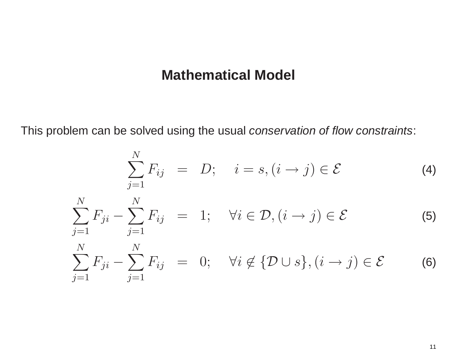This problem can be solved using the usual *conservation of flow constraints*:

<span id="page-11-0"></span>
$$
\sum_{j=1}^{N} F_{ij} = D; \quad i = s, (i \to j) \in \mathcal{E}
$$
 (4)

$$
\sum_{j=1}^{N} F_{ji} - \sum_{j=1}^{N} F_{ij} = 1; \quad \forall i \in \mathcal{D}, (i \to j) \in \mathcal{E}
$$
 (5)

$$
\sum_{j=1}^{N} F_{ji} - \sum_{j=1}^{N} F_{ij} = 0; \quad \forall i \notin \{ \mathcal{D} \cup s \}, (i \to j) \in \mathcal{E}
$$
 (6)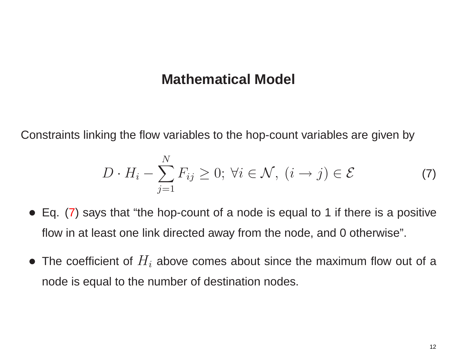Constraints linking the flow variables to the hop-count variables are given by

<span id="page-12-0"></span>
$$
D \cdot H_i - \sum_{j=1}^{N} F_{ij} \ge 0; \ \forall i \in \mathcal{N}, \ (i \to j) \in \mathcal{E}
$$
 (7)

- Eq. [\(7\)](#page-12-0) says that "the hop-count of a node is equal to 1 if there is a positive flow in at least one link directed away from the node, and 0 otherwise".
- The coefficient of  $H_i$  above comes about since the maximum flow out of a node is equal to the number of destination nodes.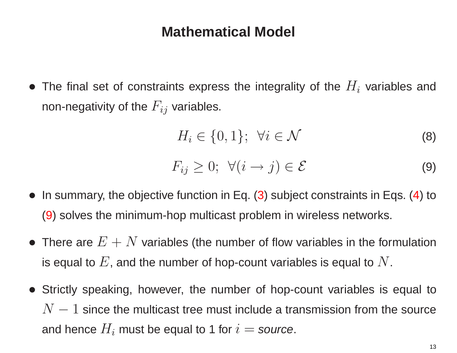• The final set of constraints express the integrality of the  $H_i$  variables and non-negativity of the  $F_{ij}$  variables.

$$
H_i \in \{0, 1\}; \ \forall i \in \mathcal{N} \tag{8}
$$

<span id="page-13-1"></span><span id="page-13-0"></span>
$$
F_{ij} \geq 0; \ \forall (i \to j) \in \mathcal{E}
$$
 (9)

- In summary, the objective function in Eq. [\(3](#page-10-0)) subject constraints in Eqs. [\(4\)](#page-11-0) to [\(9\)](#page-13-0) solves the minimum-hop multicast problem in wireless networks.
- $\bullet\,$  There are  $E+N$  variables (the number of flow variables in the formulation is equal to  $E$ , and the number of hop-count variables is equal to  $N$ .
- Strictly speaking, however, the number of hop-count variables is equal to  $N-1$  since the multicast tree must include a transmission from the source and hence  $H_i$  must be equal to 1 for  $i =$  *source*.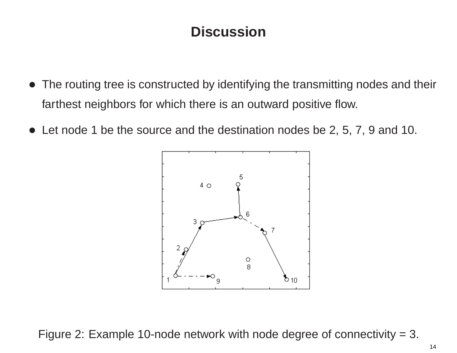# **Discussion**

- The routing tree is constructed by identifying the transmitting nodes and their farthest neighbors for which there is an outward positive flow.
- Let node 1 be the source and the destination nodes be 2, 5, 7, 9 and 10.

<span id="page-14-0"></span>

Figure 2: Example 10-node network with node degree of connectivity <sup>=</sup> 3.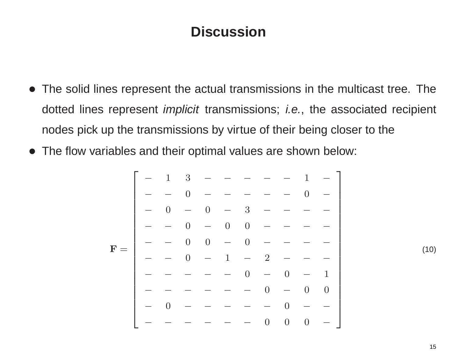### **Discussion**

- The solid lines represent the actual transmissions in the multicast tree. The dotted lines represent *implicit* transmissions; *i.e.*, the associated recipient nodes pick up the transmissions by virtue of their being closer to the
- The flow variables and their optimal values are shown below:

**F** <sup>=</sup> ⎡⎢⎢⎢ ⎢⎢⎢ ⎢⎢⎢ ⎢⎢⎢⎢ ⎢⎢⎢ ⎣ 1 3 *−−−−−* 1 *<sup>−</sup> <sup>−</sup>* 0 *−−−−−* 0 *<sup>−</sup>* 0 *<sup>−</sup>* 0 *<sup>−</sup>* 3 *−−−− <sup>−</sup>* 0 *<sup>−</sup>* 0 0 *−−−− <sup>−</sup>* 0 0 *<sup>−</sup>* 0 *−−−− <sup>−</sup>* 0 *<sup>−</sup>* 1 *<sup>−</sup>* 2 *−−− −−−−−* 0 *<sup>−</sup>* 0 *<sup>−</sup>* 1 *−−−−−−* 0 *<sup>−</sup>* 0 0 0 *−−−−−* 0 *<sup>−</sup> <sup>−</sup> −−−−−−* 000 *<sup>−</sup>* ⎤⎥⎥⎥ ⎥⎥⎥ ⎥⎥⎥ ⎥⎥⎥⎥ ⎥⎥⎥ ⎦

<span id="page-15-0"></span>(10)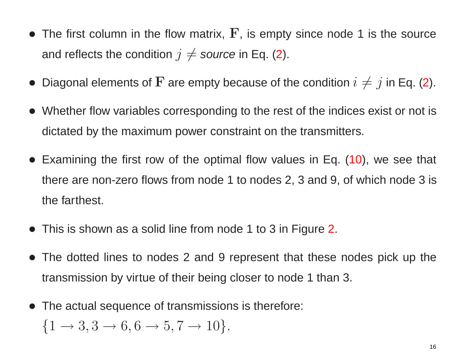- $\bullet$  The first column in the flow matrix,  $\mathbf{F}$ , is empty since node 1 is the source and reflects the condition  $j\neq$  so*urce* in Eq. ([2](#page-7-0)).
- $\bullet\,$  Diagonal elements of  ${\bf F}$  are empty because of the condition  $i\neq j$  in Eq. ([2\)](#page-7-0).
- Whether flow variables corresponding to the rest of the indices exist or not is dictated by the maximum power constraint on the transmitters.
- Examining the first row of the optimal flow values in Eq. [\(10\)](#page-15-0), we see that there are non-zero flows from node 1 to nodes 2, 3 and 9, of which node 3 is the farthest.
- This is shown as a solid line from node 1 to 3 in Figure [2](#page-14-0).
- The dotted lines to nodes 2 and 9 represent that these nodes pick up the transmission by virtue of their being closer to node 1 than 3.
- The actual sequence of transmissions is therefore:

$$
\{1 \to 3, 3 \to 6, 6 \to 5, 7 \to 10\}.
$$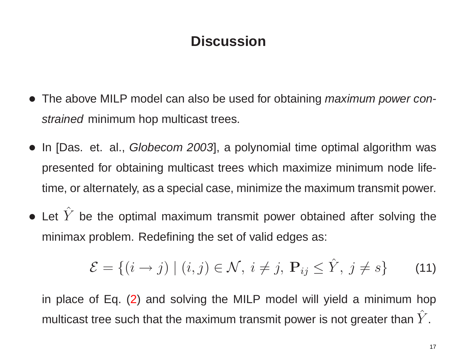## **Discussion**

- The above MILP model can also be used for obtaining *maximum power constrained* minimum hop multicast trees.
- In [Das. et. al., *Globecom 2003*], <sup>a</sup> polynomial time optimal algorithm was presented for obtaining multicast trees which maximize minimum node lifetime, or alternately, as <sup>a</sup> special case, minimize the maximum transmit power.
- $\bullet$  Let  $\hat{Y}$ be the optimal maximum transmit power obtained after solving the minimax problem. Redefining the set of valid edges as:

<span id="page-17-0"></span>
$$
\mathcal{E} = \{ (i \to j) \mid (i, j) \in \mathcal{N}, i \neq j, \mathbf{P}_{ij} \leq \hat{Y}, j \neq s \}
$$
 (11)

in place of Eq. [\(2\)](#page-7-0) and solving the MILP model will yield <sup>a</sup> minimum hop multicast tree such that the maximum transmit power is not greater than  $\hat{Y}$ .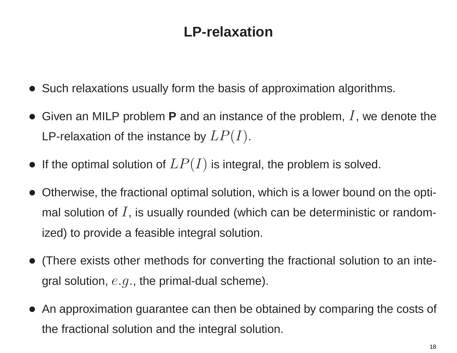- Such relaxations usually form the basis of approximation algorithms.
- $\bullet$ Given an MILP problem **P** and an instance of the problem, I, we denote the LP-relaxation of the instance by  $LP(I)$ .
- $\bullet\,$  If the optimal solution of  $LP(I)$  is integral, the problem is solved.
- • Otherwise, the fractional optimal solution, which is <sup>a</sup> lower bound on the optimal solution of  $I$ , is usually rounded (which can be deterministic or randomized) to provide <sup>a</sup> feasible integral solution.
- (There exists other methods for converting the fractional solution to an integral solution,  $e.g.,$  the primal-dual scheme).
- $\bullet$  An approximation guarantee can then be obtained by comparing the costs of the fractional solution and the integral solution.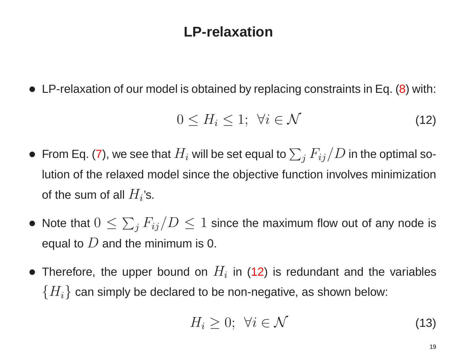• LP-relaxation of our model is obtained by replacing constraints in Eq. [\(8\)](#page-13-1) with:

$$
0 \le H_i \le 1; \ \forall i \in \mathcal{N} \tag{12}
$$

- $\bullet~$  From Eq. [\(7\)](#page-12-0), we see that  $H_i$  will be set equal to  $\sum_j F_{ij}/D$  in the optimal solution of the relaxed model since the objective function involves minimization of the sum of all  $H_i$ 's.
- Note that  $0\leq \sum_j F_{ij}/D\leq 1$  since the maximum flow out of any node is equal to  $D$  and the minimum is 0.
- Therefore, the upper bound on  $H_i$  in [\(12](#page-19-0)) is redundant and the variables  ${H_i}$  can simply be declared to be non-negative, as shown below:

<span id="page-19-0"></span>
$$
H_i \geq 0; \ \forall i \in \mathcal{N} \tag{13}
$$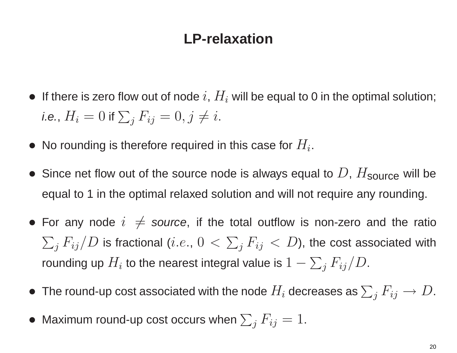- $\bullet\;$  If there is zero flow out of node  $i,\,H_i$  will be equal to 0 in the optimal solution; *i.e.,*  $H_i = 0$  *if*  $\sum_j F_{ij} = 0, j \neq i.$
- $\bullet\,$  No rounding is therefore required in this case for  $H_i.$
- •Since net flow out of the source node is always equal to  $D$ ,  $H_{\text{source}}$  will be equal to 1 in the optimal relaxed solution and will not require any rounding.
- For any node  $i \neq$  source, if the total outflow is non-zero and the ratio  $\sum_j F_{ij}/D$  is fractional  $(i.e.,\, 0\,<\,\sum_j F_{ij}\,<\,D),$  the cost associated with rounding up  $H_i$  to the nearest integral value is  $1-\sum_j F_{ij}/D.$
- $\bullet~$  The round-up cost associated with the node  $H_i$  decreases as  $\sum_j F_{ij} \rightarrow D.$
- $\bullet \,$  Maximum round-up cost occurs when  $\sum_j F_{ij} = 1.$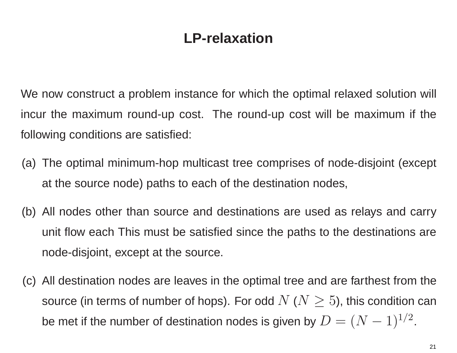We now construct <sup>a</sup> problem instance for which the optimal relaxed solution will incur the maximum round-up cost. The round-up cost will be maximum if the following conditions are satisfied:

- (a) The optimal minimum-hop multicast tree comprises of node-disjoint (except at the source node) paths to each of the destination nodes,
- (b) All nodes other than source and destinations are used as relays and carry unit flow each This must be satisfied since the paths to the destinations are node-disjoint, except at the source.
- (c) All destination nodes are leaves in the optimal tree and are farthest from the source (in terms of number of hops). For odd  $N$  ( $N\geq 5$ ), this condition can be met if the number of destination nodes is given by  $D = (N-1)^{1/2}$ .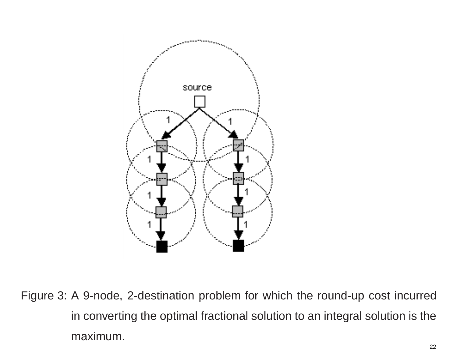

Figure 3: A 9-node, 2-destination problem for which the round-up cost incurred in converting the optimal fractional solution to an integral solution is the maximum.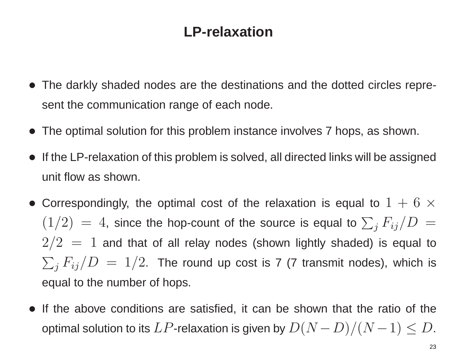- The darkly shaded nodes are the destinations and the dotted circles represent the communication range of each node.
- The optimal solution for this problem instance involves 7 hops, as shown.
- If the LP-relaxation of this problem is solved, all directed links will be assigned unit flow as shown.
- $\bullet$  Correspondingly, the optimal cost of the relaxation is equal to  $1+6$   $\times$  $(1/2)~=~4,$  since the hop-count of the source is equal to  $\sum_j F_{ij}/D~=~$  $2/2=1$  and that of all relay nodes (shown lightly shaded) is equal to  $\sum_j F_{ij}/D \ = \ 1/2.$  The round up cost is 7 (7 transmit nodes), which is equal to the number of hops.
- If the above conditions are satisfied, it can be shown that the ratio of the optimal solution to its  $LP$ -relaxation is given by  $D(N-D)/(N-1) \leq D$ .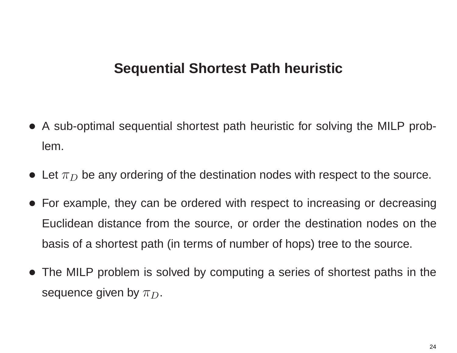- A sub-optimal sequential shortest path heuristic for solving the MILP problem.
- $\bullet\,$  Let  $\pi_D$  be any ordering of the destination nodes with respect to the source.
- For example, they can be ordered with respect to increasing or decreasing Euclidean distance from the source, or order the destination nodes on the basis of <sup>a</sup> shortest path (in terms of number of hops) tree to the source.
- The MILP problem is solved by computing <sup>a</sup> series of shortest paths in the sequence given by  $\pi_D.$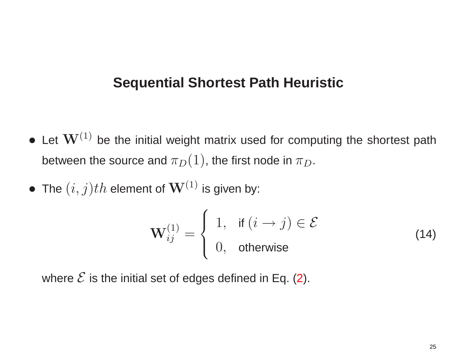- $\bullet$  Let  $\mathbf{W}^{(1)}$  be the initial weight matrix used for computing the shortest path between the source and  $\pi_D(1)$ , the first node in  $\pi_D.$
- $\bullet\,$  The  $(i,j)th$  element of  $\mathbf{W}^{(1)}$  is given by:

<span id="page-25-0"></span>
$$
\mathbf{W}_{ij}^{(1)} = \begin{cases} 1, & \text{if } (i \rightarrow j) \in \mathcal{E} \\ 0, & \text{otherwise} \end{cases}
$$
 (14)

where  ${\cal E}$  is the initial set of edges defined in Eq. ([2\)](#page-7-0).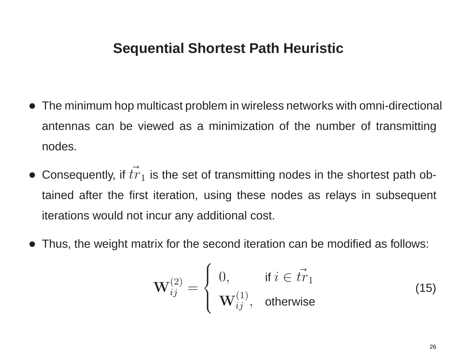- The minimum hop multicast problem in wireless networks with omni-directional antennas can be viewed as <sup>a</sup> minimization of the number of transmitting nodes.
- Consequently, if  $\vec{tr}$  $_1$  is the set of transmitting nodes in the shortest path obtained after the first iteration, using these nodes as relays in subsequent iterations would not incur any additional cost.
- •Thus, the weight matrix for the second iteration can be modified as follows:

<span id="page-26-0"></span>
$$
\mathbf{W}_{ij}^{(2)} = \begin{cases} 0, & \text{if } i \in \vec{tr}_1 \\ \mathbf{W}_{ij}^{(1)}, & \text{otherwise} \end{cases}
$$
(15)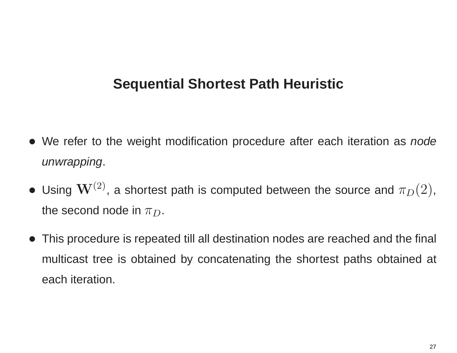- We refer to the weight modification procedure after each iteration as *node unwrapping*.
- $\bullet$  Using  $\mathbf{W}^{(2)}$ , a shortest path is computed between the source and  $\pi_D(2)$ , the second node in  $\pi_D.$
- $\bullet$  This procedure is repeated till all destination nodes are reached and the final multicast tree is obtained by concatenating the shortest paths obtained at each iteration.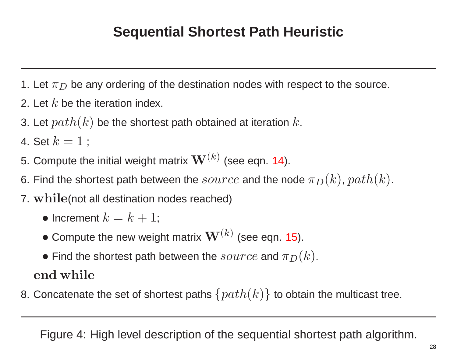- 1. Let  $\pi_D$  be any ordering of the destination nodes with respect to the source.
- 2. Let  $k$  be the iteration index.
- 3. Let  $path(k)$  be the shortest path obtained at iteration  $k.$

4. Set  $k=1$  ;

- 5. Compute the initial weight matrix  $\mathbf{W}^{(k)}$  (see eqn. [14\)](#page-25-0).
- 6. Find the shortest path between the  $source$  and the node  $\pi_D(k)$ ,  $path(k).$
- 7. **while**(not all destination nodes reached)
	- $\bullet$  Increment  $k=k+1;$
	- $\bullet$  Compute the new weight matrix  $\mathbf{W}^{(k)}$  (see eqn. [15\)](#page-26-0).
	- $\bullet$  Find the shortest path between the  $source$  and  $\pi_D(k).$

**end while**

8. Concatenate the set of shortest paths  $\{path(k)\}$  to obtain the multicast tree.

<span id="page-28-0"></span>Figure 4: High level description of the sequential shortest path algorithm.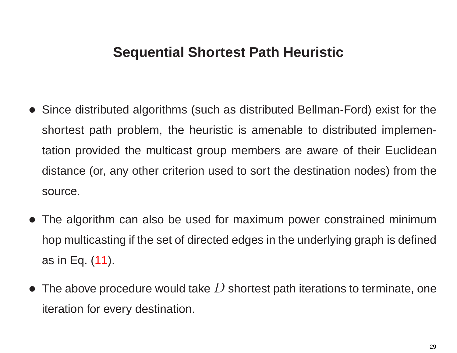- Since distributed algorithms (such as distributed Bellman-Ford) exist for the shortest path problem, the heuristic is amenable to distributed implementation provided the multicast group members are aware of their Euclidean distance (or, any other criterion used to sort the destination nodes) from the source.
- The algorithm can also be used for maximum power constrained minimum hop multicasting if the set of directed edges in the underlying graph is defined as in Eq. [\(11\)](#page-17-0).
- $\bullet\,$  The above procedure would take  $D$  shortest path iterations to terminate, one iteration for every destination.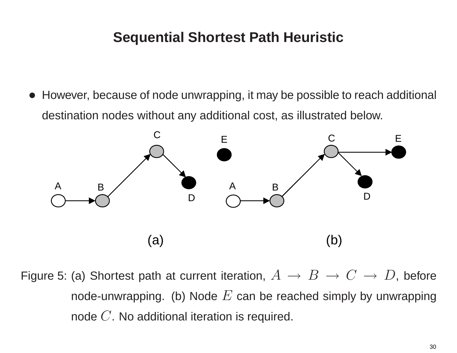• However, because of node unwrapping, it may be possible to reach additional destination nodes without any additional cost, as illustrated below.



Figure 5: (a) Shortest path at current iteration,  $A\,\rightarrow\, B\,\rightarrow\, C\,\rightarrow\, D,$  before node-unwrapping. (b) Node  $E$  can be reached simply by unwrapping node  $C.$  No additional iteration is required.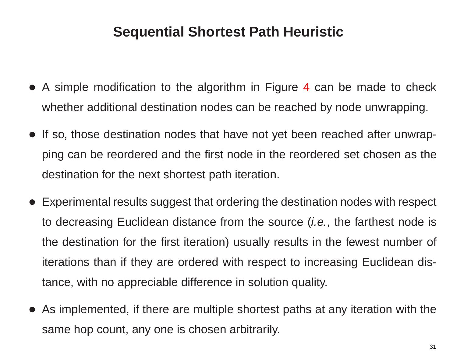- A simple modification to the algorithm in Figure [4](#page-28-0) can be made to check whether additional destination nodes can be reached by node unwrapping.
- If so, those destination nodes that have not yet been reached after unwrapping can be reordered and the first node in the reordered set chosen as the destination for the next shortest path iteration.
- • Experimental results suggest that ordering the destination nodes with respect to decreasing Euclidean distance from the source (*i.e.*, the farthest node is the destination for the first iteration) usually results in the fewest number of iterations than if they are ordered with respect to increasing Euclidean distance, with no appreciable difference in solution quality.
- As implemented, if there are multiple shortest paths at any iteration with the same hop count, any one is chosen arbitrarily.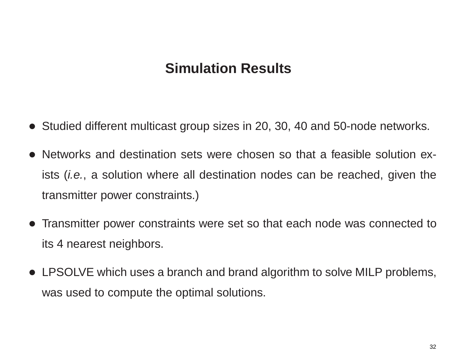### **Simulation Results**

- Studied different multicast group sizes in 20, 30, 40 and 50-node networks.
- Networks and destination sets were chosen so that a feasible solution exists (*i.e.*, <sup>a</sup> solution where all destination nodes can be reached, given the transmitter power constraints.)
- Transmitter power constraints were set so that each node was connected to its 4 nearest neighbors.
- LPSOLVE which uses <sup>a</sup> branch and brand algorithm to solve MILP problems, was used to compute the optimal solutions.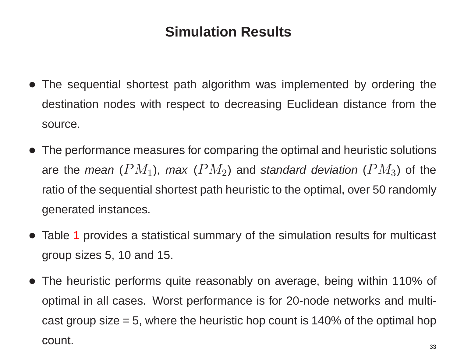# **Simulation Results**

- The sequential shortest path algorithm was implemented by ordering the destination nodes with respect to decreasing Euclidean distance from the source.
- The performance measures for comparing the optimal and heuristic solutions are the *mean* ( $PM_1$ ), *max* ( $PM_2$ ) and *standard deviation* ( $PM_3$ ) of the ratio of the sequential shortest path heuristic to the optimal, over 50 randomly generated instances.
- Table [1](#page-34-0) provides <sup>a</sup> statistical summary of the simulation results for multicast group sizes 5, 10 and 15.
- The heuristic performs quite reasonably on average, being within 110% of optimal in all cases. Worst performance is for 20-node networks and multicast group size  $= 5$ , where the heuristic hop count is 140% of the optimal hop count.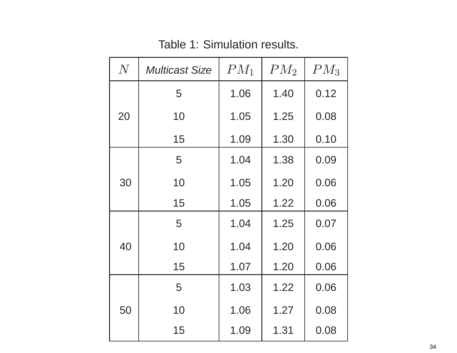<span id="page-34-0"></span>

|  | N  | <b>Multicast Size</b> | $PM_1$ | $PM_2$ | $PM_3$ |
|--|----|-----------------------|--------|--------|--------|
|  | 20 | 5                     | 1.06   | 1.40   | 0.12   |
|  |    | 10                    | 1.05   | 1.25   | 0.08   |
|  |    | 15                    | 1.09   | 1.30   | 0.10   |
|  | 30 | 5                     | 1.04   | 1.38   | 0.09   |
|  |    | 10                    | 1.05   | 1.20   | 0.06   |
|  |    | 15                    | 1.05   | 1.22   | 0.06   |
|  | 40 | 5                     | 1.04   | 1.25   | 0.07   |
|  |    | 10                    | 1.04   | 1.20   | 0.06   |
|  |    | 15                    | 1.07   | 1.20   | 0.06   |
|  | 50 | 5                     | 1.03   | 1.22   | 0.06   |
|  |    | 10                    | 1.06   | 1.27   | 0.08   |
|  |    | 15                    | 1.09   | 1.31   | 0.08   |

Table 1: Simulation results.